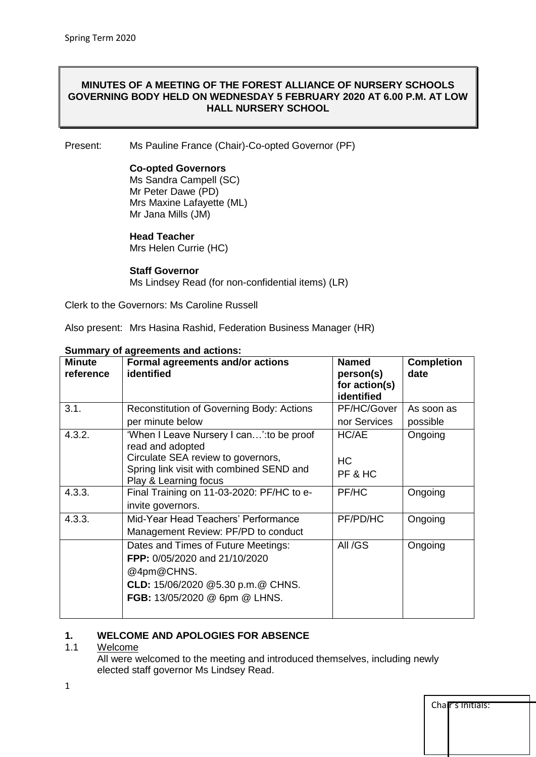## **MINUTES OF A MEETING OF THE FOREST ALLIANCE OF NURSERY SCHOOLS GOVERNING BODY HELD ON WEDNESDAY 5 FEBRUARY 2020 AT 6.00 P.M. AT LOW HALL NURSERY SCHOOL**

Present: Ms Pauline France (Chair)-Co-opted Governor (PF)

## **Co-opted Governors**

Ms Sandra Campell (SC) Mr Peter Dawe (PD) Mrs Maxine Lafayette (ML) Mr Jana Mills (JM)

### **Head Teacher**

Mrs Helen Currie (HC)

### **Staff Governor**

Ms Lindsey Read (for non-confidential items) (LR)

Clerk to the Governors: Ms Caroline Russell

Also present: Mrs Hasina Rashid, Federation Business Manager (HR)

| <b>Minute</b><br>reference | <b>Formal agreements and/or actions</b><br>identified                          | <b>Named</b><br>person(s)<br>for action(s)<br>identified | <b>Completion</b><br>date |
|----------------------------|--------------------------------------------------------------------------------|----------------------------------------------------------|---------------------------|
| 3.1.                       | Reconstitution of Governing Body: Actions                                      | PF/HC/Gover                                              | As soon as                |
|                            | per minute below                                                               | nor Services                                             | possible                  |
| 4.3.2.                     | 'When I Leave Nursery I can': to be proof<br>read and adopted                  | HC/AE                                                    | Ongoing                   |
|                            | Circulate SEA review to governors,<br>Spring link visit with combined SEND and | HC                                                       |                           |
|                            | Play & Learning focus                                                          | PF & HC                                                  |                           |
| 4.3.3.                     | Final Training on 11-03-2020: PF/HC to e-                                      | PF/HC                                                    | Ongoing                   |
|                            | invite governors.                                                              |                                                          |                           |
| 4.3.3.                     | Mid-Year Head Teachers' Performance                                            | PF/PD/HC                                                 | Ongoing                   |
|                            | Management Review: PF/PD to conduct                                            |                                                          |                           |
|                            | Dates and Times of Future Meetings:                                            | All /GS                                                  | Ongoing                   |
|                            | FPP: 0/05/2020 and 21/10/2020                                                  |                                                          |                           |
|                            | @4pm@CHNS.                                                                     |                                                          |                           |
|                            | CLD: 15/06/2020 @5.30 p.m.@ CHNS.                                              |                                                          |                           |
|                            | FGB: 13/05/2020 @ 6pm @ LHNS.                                                  |                                                          |                           |
|                            |                                                                                |                                                          |                           |

### **Summary of agreements and actions:**

## **1. WELCOME AND APOLOGIES FOR ABSENCE**

### 1.1 Welcome

All were welcomed to the meeting and introduced themselves, including newly elected staff governor Ms Lindsey Read.

| Char's Initials: |  |  |  |
|------------------|--|--|--|
|                  |  |  |  |
|                  |  |  |  |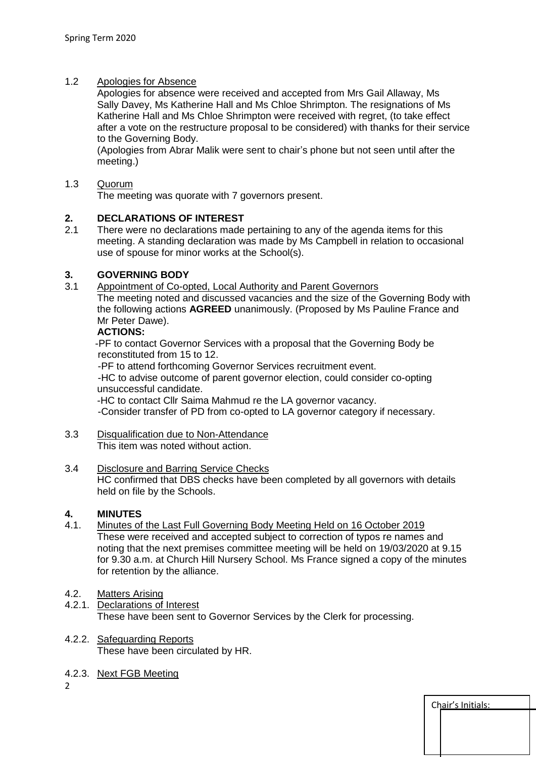# 1.2 Apologies for Absence

Apologies for absence were received and accepted from Mrs Gail Allaway, Ms Sally Davey, Ms Katherine Hall and Ms Chloe Shrimpton. The resignations of Ms Katherine Hall and Ms Chloe Shrimpton were received with regret, (to take effect after a vote on the restructure proposal to be considered) with thanks for their service to the Governing Body.

(Apologies from Abrar Malik were sent to chair's phone but not seen until after the meeting.)

## 1.3 Quorum

The meeting was quorate with 7 governors present.

# **2. DECLARATIONS OF INTEREST**

2.1 There were no declarations made pertaining to any of the agenda items for this meeting. A standing declaration was made by Ms Campbell in relation to occasional use of spouse for minor works at the School(s).

# **3. GOVERNING BODY**

3.1 Appointment of Co-opted, Local Authority and Parent Governors

The meeting noted and discussed vacancies and the size of the Governing Body with the following actions **AGREED** unanimously. (Proposed by Ms Pauline France and Mr Peter Dawe).

# **ACTIONS:**

 -PF to contact Governor Services with a proposal that the Governing Body be reconstituted from 15 to 12.

-PF to attend forthcoming Governor Services recruitment event.

 -HC to advise outcome of parent governor election, could consider co-opting unsuccessful candidate.

-HC to contact Cllr Saima Mahmud re the LA governor vacancy. -Consider transfer of PD from co-opted to LA governor category if necessary.

3.3 Disqualification due to Non-Attendance This item was noted without action.

### 3.4 Disclosure and Barring Service Checks HC confirmed that DBS checks have been completed by all governors with details held on file by the Schools.

# **4. MINUTES**

4.1. Minutes of the Last Full Governing Body Meeting Held on 16 October 2019 These were received and accepted subject to correction of typos re names and noting that the next premises committee meeting will be held on 19/03/2020 at 9.15 for 9.30 a.m. at Church Hill Nursery School. Ms France signed a copy of the minutes for retention by the alliance.

## 4.2. Matters Arising

- 4.2.1. Declarations of Interest These have been sent to Governor Services by the Clerk for processing.
- 4.2.2. Safeguarding Reports These have been circulated by HR.
- 4.2.3. Next FGB Meeting

 $\overline{2}$ 

| Chair's Initials: |  |  |
|-------------------|--|--|
|                   |  |  |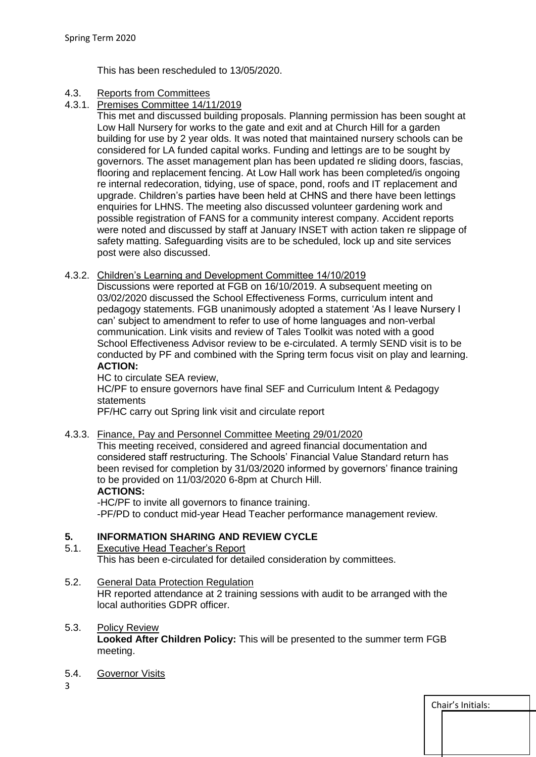This has been rescheduled to 13/05/2020.

# 4.3. Reports from Committees

4.3.1. Premises Committee 14/11/2019

This met and discussed building proposals. Planning permission has been sought at Low Hall Nursery for works to the gate and exit and at Church Hill for a garden building for use by 2 year olds. It was noted that maintained nursery schools can be considered for LA funded capital works. Funding and lettings are to be sought by governors. The asset management plan has been updated re sliding doors, fascias, flooring and replacement fencing. At Low Hall work has been completed/is ongoing re internal redecoration, tidying, use of space, pond, roofs and IT replacement and upgrade. Children's parties have been held at CHNS and there have been lettings enquiries for LHNS. The meeting also discussed volunteer gardening work and possible registration of FANS for a community interest company. Accident reports were noted and discussed by staff at January INSET with action taken re slippage of safety matting. Safeguarding visits are to be scheduled, lock up and site services post were also discussed.

# 4.3.2. Children's Learning and Development Committee 14/10/2019

Discussions were reported at FGB on 16/10/2019. A subsequent meeting on 03/02/2020 discussed the School Effectiveness Forms, curriculum intent and pedagogy statements. FGB unanimously adopted a statement 'As I leave Nursery I can' subject to amendment to refer to use of home languages and non-verbal communication. Link visits and review of Tales Toolkit was noted with a good School Effectiveness Advisor review to be e-circulated. A termly SEND visit is to be conducted by PF and combined with the Spring term focus visit on play and learning. **ACTION:**

### HC to circulate SEA review,

HC/PF to ensure governors have final SEF and Curriculum Intent & Pedagogy statements

PF/HC carry out Spring link visit and circulate report

## 4.3.3. Finance, Pay and Personnel Committee Meeting 29/01/2020

This meeting received, considered and agreed financial documentation and considered staff restructuring. The Schools' Financial Value Standard return has been revised for completion by 31/03/2020 informed by governors' finance training to be provided on 11/03/2020 6-8pm at Church Hill.

## **ACTIONS:**

-HC/PF to invite all governors to finance training. -PF/PD to conduct mid-year Head Teacher performance management review.

# **5. INFORMATION SHARING AND REVIEW CYCLE**

### 5.1. Executive Head Teacher's Report This has been e-circulated for detailed consideration by committees.

## 5.2. General Data Protection Regulation

HR reported attendance at 2 training sessions with audit to be arranged with the local authorities GDPR officer.

# 5.3. Policy Review **Looked After Children Policy:** This will be presented to the summer term FGB meeting.

5.4. Governor Visits

3

| Chair's Initials: |  |  |
|-------------------|--|--|
|                   |  |  |